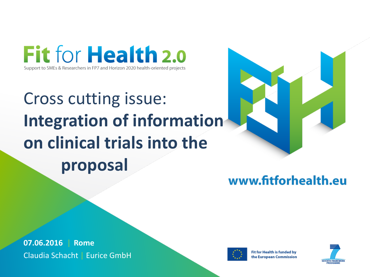Fit for Health 2.0 Support to SMEs & Researchers in FP7 and Horizon 2020 health-oriented projects

# Cross cutting issue: **Integration of information on clinical trials into the proposal**



### www.fitforhealth.eu

**07.06.2016** | **Rome** Claudia Schacht | Eurice GmbH



**Fit for Health is funded by** the European Commission

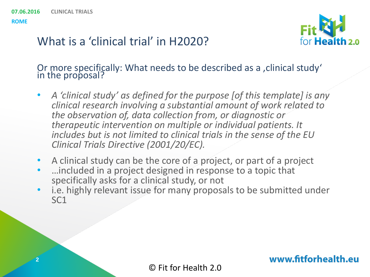

### What is a 'clinical trial' in H2020?

Or more specifically: What needs to be described as a , clinical study' in the proposal?

- *A 'clinical study' as defined for the purpose [of this template] is any clinical research involving a substantial amount of work related to the observation of, data collection from, or diagnostic or therapeutic intervention on multiple or individual patients. It includes but is not limited to clinical trials in the sense of the EU Clinical Trials Directive (2001/20/EC).*
- A clinical study can be the core of a project, or part of a project
- …included in a project designed in response to a topic that specifically asks for a clinical study, or not
- i.e. highly relevant issue for many proposals to be submitted under SC1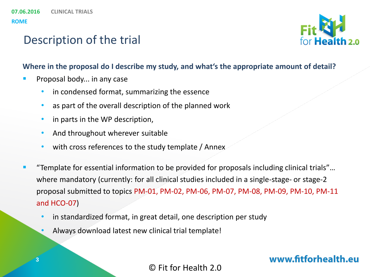

### Description of the trial

#### **Where in the proposal do I describe my study, and what's the appropriate amount of detail?**

- Proposal body... in any case
	- in condensed format, summarizing the essence
	- as part of the overall description of the planned work
	- in parts in the WP description,
	- And throughout wherever suitable
	- with cross references to the study template / Annex
- "Template for essential information to be provided for proposals including clinical trials"… where mandatory (currently: for all clinical studies included in a single-stage- or stage-2 proposal submitted to topics PM-01, PM-02, PM-06, PM-07, PM-08, PM-09, PM-10, PM-11 and HCO-07)
	- in standardized format, in great detail, one description per study
	- Always download latest new clinical trial template!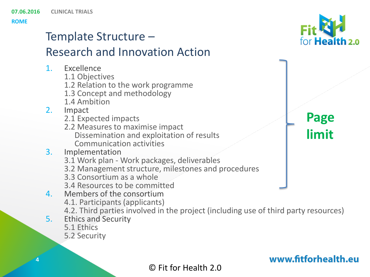# Template Structure – Research and Innovation Action

- 1. Excellence
	- 1.1 Objectives
	- 1.2 Relation to the work programme
	- 1.3 Concept and methodology
	- 1.4 Ambition
- 2. Impact
	- 2.1 Expected impacts
	- 2.2 Measures to maximise impact Dissemination and exploitation of results Communication activities

### 3. Implementation

- 3.1 Work plan Work packages, deliverables
- 3.2 Management structure, milestones and procedures
- 3.3 Consortium as a whole
- 3.4 Resources to be committed
- 4. Members of the consortium
	- 4.1. Participants (applicants)
	- 4.2. Third parties involved in the project (including use of third party resources)
- 5. Ethics and Security
	- 5.1 Ethics
	- 5.2 Security



**Page** 

**limit**

### www.fitforhealth.eu

### © Fit for Health 2.0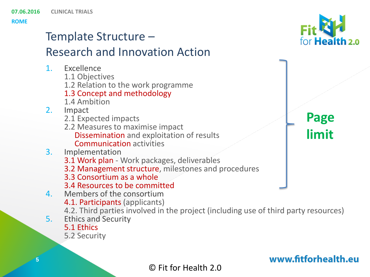# Template Structure – Research and Innovation Action

- 1. Excellence
	- 1.1 Objectives
	- 1.2 Relation to the work programme
	- 1.3 Concept and methodology
	- 1.4 Ambition
- 2. Impact
	- 2.1 Expected impacts
	- 2.2 Measures to maximise impact Dissemination and exploitation of results Communication activities
- 3. Implementation
	- 3.1 Work plan Work packages, deliverables
	- 3.2 Management structure, milestones and procedures
	- 3.3 Consortium as a whole
	- 3.4 Resources to be committed
- 4. Members of the consortium
	- 4.1. Participants (applicants)
	- 4.2. Third parties involved in the project (including use of third party resources)
- 5. Ethics and Security
	- 5.1 Ethics
	- 5.2 Security

**Page** 

for Health<sub>2.0</sub>

**limit**

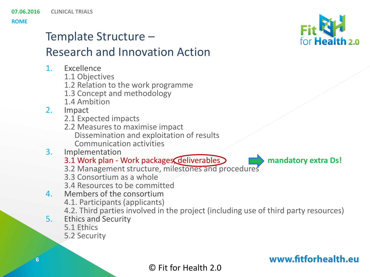### Template Structure – Research and Innovation Action

- 1. Excellence
	- 1.1 Objectives
	- 1.2 Relation to the work programme
	- 1.3 Concept and methodology
	- 1.4 Ambition
- 2. Impact
	- 2.1 Expected impacts
	- 2.2 Measures to maximise impact Dissemination and exploitation of results Communication activities
- 3. Implementation
	- 3.1 Work plan Work packages, deliverables **mandatory extra Ds!**
	- 3.2 Management structure, milestones and procedures
	- 3.3 Consortium as a whole
	- 3.4 Resources to be committed
- 4. Members of the consortium
	- 4.1. Participants (applicants)
	- 4.2. Third parties involved in the project (including use of third party resources)
- 5. Ethics and Security
	- 5.1 Ethics
	- 5.2 Security



for Health<sub>2.0</sub>

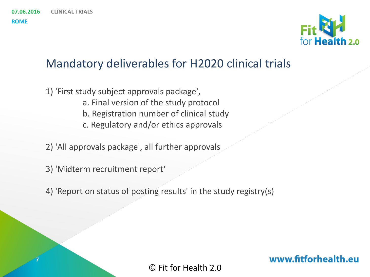**7**



### Mandatory deliverables for H2020 clinical trials

- 1) 'First study subject approvals package', a. Final version of the study protocol
	- b. Registration number of clinical study
	- c. Regulatory and/or ethics approvals
- 2) 'All approvals package', all further approvals
- 3) 'Midterm recruitment report'
- 4) 'Report on status of posting results' in the study registry(s)

© Fit for Health 2.0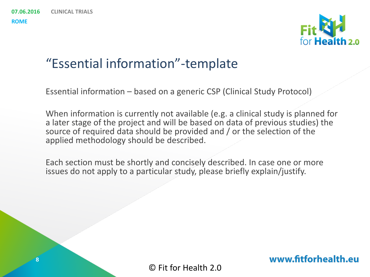

### "Essential information"-template

Essential information – based on a generic CSP (Clinical Study Protocol)

When information is currently not available (e.g. a clinical study is planned for a later stage of the project and will be based on data of previous studies) the source of required data should be provided and / or the selection of the applied methodology should be described.

Each section must be shortly and concisely described. In case one or more issues do not apply to a particular study, please briefly explain/justify.

© Fit for Health 2.0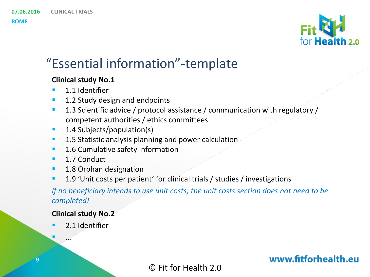

# "Essential information"-template

#### **Clinical study No.1**

**1.1 Identifier** 

**CLINICAL TRIALS**

- 1.2 Study design and endpoints
- <sup>1</sup> 1.3 Scientific advice / protocol assistance / communication with regulatory / competent authorities / ethics committees
- **1.4 Subjects/population(s)**
- **1.5 Statistic analysis planning and power calculation**
- **1.6 Cumulative safety information**
- **1.7 Conduct**
- **1.8 Orphan designation**
- **1.9** 'Unit costs per patient' for clinical trials / studies / investigations

#### *If no beneficiary intends to use unit costs, the unit costs section does not need to be completed!*

#### **Clinical study No.2**

**2.1 Identifier** 

…

**9**

© Fit for Health 2.0

www.fitforhealth.eu

**07.06.2016**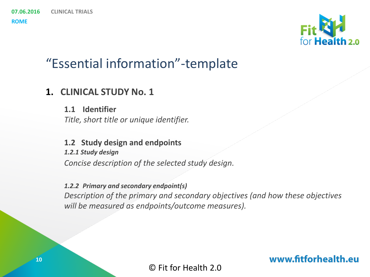### "Essential information"-template

### **1. CLINICAL STUDY No. 1**

**1.1 Identifier** *Title, short title or unique identifier.*

**1.2 Study design and endpoints** *1.2.1 Study design Concise description of the selected study design.*

*1.2.2 Primary and secondary endpoint(s) Description of the primary and secondary objectives (and how these objectives will be measured as endpoints/outcome measures).*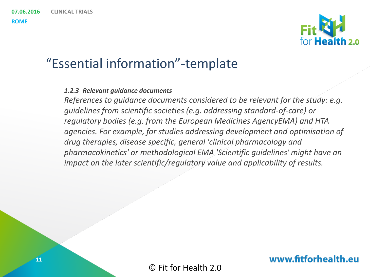### "Essential information"-template

#### *1.2.3 Relevant guidance documents*

*References to guidance documents considered to be relevant for the study: e.g. guidelines from scientific societies (e.g. addressing standard-of-care) or regulatory bodies (e.g. from the European Medicines AgencyEMA) and HTA agencies. For example, for studies addressing development and optimisation of drug therapies, disease specific, general 'clinical pharmacology and pharmacokinetics' or methodological EMA 'Scientific guidelines' might have an impact on the later scientific/regulatory value and applicability of results.* 



© Fit for Health 2.0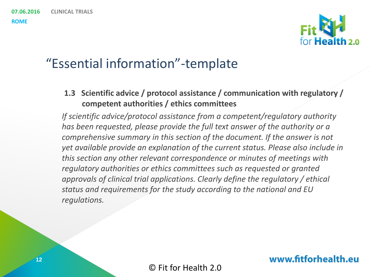

### "Essential information"-template

**1.3 Scientific advice / protocol assistance / communication with regulatory / competent authorities / ethics committees**

*If scientific advice/protocol assistance from a competent/regulatory authority has been requested, please provide the full text answer of the authority or a comprehensive summary in this section of the document. If the answer is not yet available provide an explanation of the current status. Please also include in this section any other relevant correspondence or minutes of meetings with regulatory authorities or ethics committees such as requested or granted approvals of clinical trial applications. Clearly define the regulatory / ethical status and requirements for the study according to the national and EU regulations.*

www.fitforhealth.eu

© Fit for Health 2.0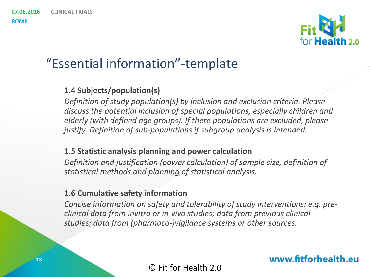#### **07.06.2016 CLINICAL TRIALS**

**ROME**

### "Essential information"-template

#### **1.4 Subjects/population(s)**

*Definition of study population(s) by inclusion and exclusion criteria. Please discuss the potential inclusion of special populations, especially children and elderly (with defined age groups). If there populations are excluded, please justify. Definition of sub-populations if subgroup analysis is intended.*

#### **1.5 Statistic analysis planning and power calculation**

*Definition and justification (power calculation) of sample size, definition of statistical methods and planning of statistical analysis.*

#### **1.6 Cumulative safety information**

*Concise information on safety and tolerability of study interventions: e.g. preclinical data from invitro or in-vivo studies; data from previous clinical studies; data from (pharmaco-)vigilance systems or other sources.*

© Fit for Health 2.0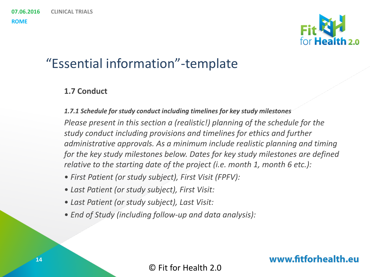#### **07.06.2016 CLINICAL TRIALS**

**ROME**



### "Essential information"-template

#### **1.7 Conduct**

*1.7.1 Schedule for study conduct including timelines for key study milestones Please present in this section a (realistic!) planning of the schedule for the study conduct including provisions and timelines for ethics and further administrative approvals. As a minimum include realistic planning and timing for the key study milestones below. Dates for key study milestones are defined relative to the starting date of the project (i.e. month 1, month 6 etc.):*

- *First Patient (or study subject), First Visit (FPFV):*
- *Last Patient (or study subject), First Visit:*
- *Last Patient (or study subject), Last Visit:*
- *End of Study (including follow-up and data analysis):*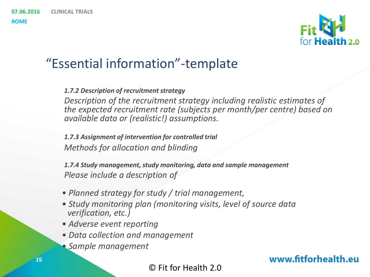### "Essential information"-template

#### *1.7.2 Description of recruitment strategy*

*Description of the recruitment strategy including realistic estimates of the expected recruitment rate (subjects per month/per centre) based on available data or (realistic!) assumptions.*

*1.7.3 Assignment of intervention for controlled trial Methods for allocation and blinding*

*1.7.4 Study management, study monitoring, data and sample management Please include a description of*

- *Planned strategy for study / trial management,*
- *Study monitoring plan (monitoring visits, level of source data verification, etc.)*
- *Adverse event reporting*
- *Data collection and management*
- *Sample management*

www.fitforhealth.eu

© Fit for Health 2.0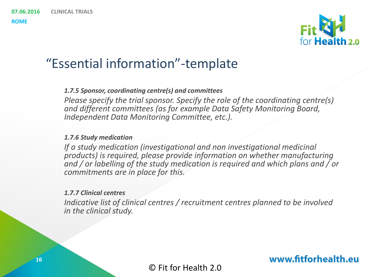**16**

**ROME**

### "Essential information"-template

#### *1.7.5 Sponsor, coordinating centre(s) and committees*

*Please specify the trial sponsor. Specify the role of the coordinating centre(s) and different committees (as for example Data Safety Monitoring Board, Independent Data Monitoring Committee, etc.).*

#### *1.7.6 Study medication*

*If a study medication (investigational and non investigational medicinal products) is required, please provide information on whether manufacturing and / or labelling of the study medication is required and which plans and / or commitments are in place for this.*

#### *1.7.7 Clinical centres*

*Indicative list of clinical centres / recruitment centres planned to be involved in the clinical study.*

www.fitforhealth.eu

© Fit for Health 2.0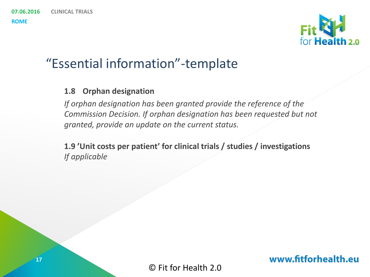

### "Essential information"-template

#### **1.8 Orphan designation**

*If orphan designation has been granted provide the reference of the Commission Decision. If orphan designation has been requested but not granted, provide an update on the current status.*

**1.9 'Unit costs per patient' for clinical trials / studies / investigations** *If applicable*

© Fit for Health 2.0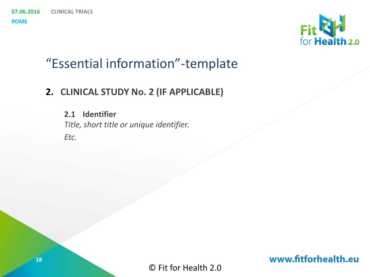### "Essential information"-template

### **2. CLINICAL STUDY No. 2 (IF APPLICABLE)**

**2.1 Identifier** *Title, short title or unique identifier. Etc.*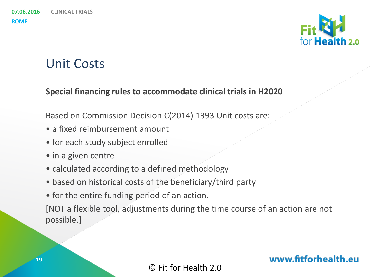# Unit Costs

#### **Special financing rules to accommodate clinical trials in H2020**

Based on Commission Decision C(2014) 1393 Unit costs are:

- a fixed reimbursement amount
- for each study subject enrolled
- in a given centre
- calculated according to a defined methodology
- based on historical costs of the beneficiary/third party
- for the entire funding period of an action.

[NOT a flexible tool, adjustments during the time course of an action are not possible.]

#### © Fit for Health 2.0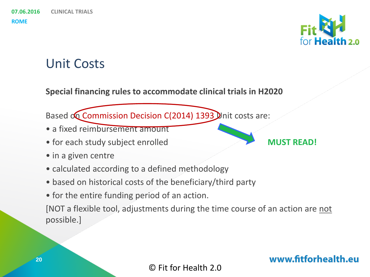# Unit Costs

**Special financing rules to accommodate clinical trials in H2020**

Based on Commission Decision C(2014) 1393 Unit costs are:

- a fixed reimbursement amount
- for each study subject enrolled **MUST READ!**
- in a given centre
- calculated according to a defined methodology
- based on historical costs of the beneficiary/third party
- for the entire funding period of an action.

[NOT a flexible tool, adjustments during the time course of an action are not possible.]

© Fit for Health 2.0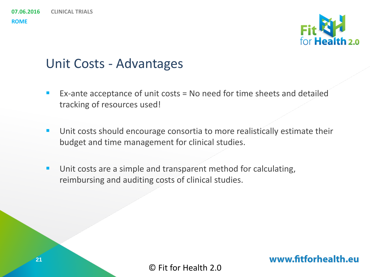#### **07.06.2016 CLINICAL TRIALS**

**ROME**

# for Health 2.0

### Unit Costs - Advantages

- Ex-ante acceptance of unit costs  $=$  No need for time sheets and detailed tracking of resources used!
- **Unit costs should encourage consortia to more realistically estimate their** budget and time management for clinical studies.
- **Unit costs are a simple and transparent method for calculating,** reimbursing and auditing costs of clinical studies.

© Fit for Health 2.0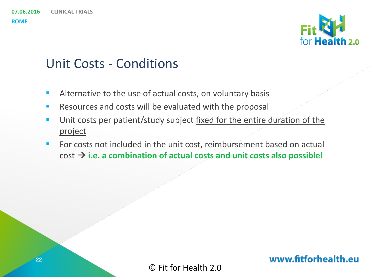#### **07.06.2016 CLINICAL TRIALS**

**ROME**

# for Health<sub>2.0</sub>

# Unit Costs - Conditions

- Alternative to the use of actual costs, on voluntary basis
- **Resources and costs will be evaluated with the proposal**
- Unit costs per patient/study subject fixed for the entire duration of the project
- For costs not included in the unit cost, reimbursement based on actual  $\cot \rightarrow$  i.e. a combination of actual costs and unit costs also possible!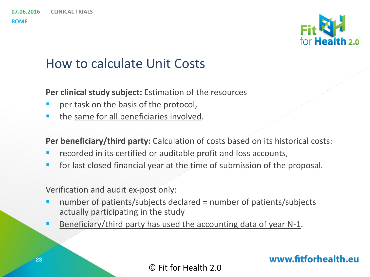

### How to calculate Unit Costs

**Per clinical study subject:** Estimation of the resources

- per task on the basis of the protocol,
- the same for all beneficiaries involved.

**Per beneficiary/third party:** Calculation of costs based on its historical costs:

- recorded in its certified or auditable profit and loss accounts,
- **for last closed financial year at the time of submission of the proposal.**

Verification and audit ex-post only:

- number of patients/subjects declared = number of patients/subjects actually participating in the study
- Beneficiary/third party has used the accounting data of year N-1.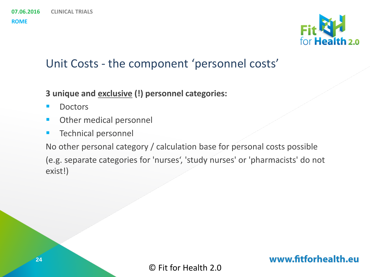

### Unit Costs - the component 'personnel costs'

- **3 unique and exclusive (!) personnel categories:**
- **Doctors**
- **Other medical personnel**
- **Technical personnel**

No other personal category / calculation base for personal costs possible (e.g. separate categories for 'nurses', 'study nurses' or 'pharmacists' do not exist!)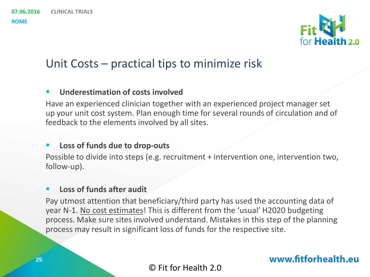

### Unit Costs – practical tips to minimize risk

#### **Underestimation of costs involved**

Have an experienced clinician together with an experienced project manager set up your unit cost system. Plan enough time for several rounds of circulation and of feedback to the elements involved by all sites.

#### **Loss of funds due to drop-outs**

Possible to divide into steps (e.g. recruitment + intervention one, intervention two, follow-up).

#### **Loss of funds after audit**

Pay utmost attention that beneficiary/third party has used the accounting data of year N-1. No cost estimates! This is different from the 'usual' H2020 budgeting process. Make sure sites involved understand. Mistakes in this step of the planning process may result in significant loss of funds for the respective site.